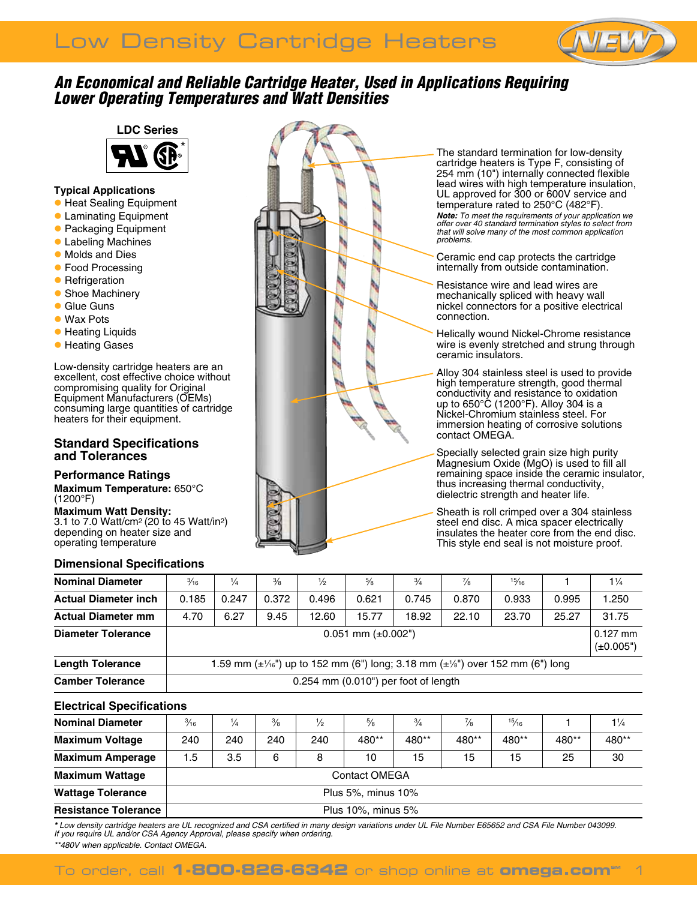

# *An Economical and Reliable Cartridge Heater, Used in Applications Requiring Lower Operating Temperatures and Watt Densities*



## **Typical Applications**

- **Heat Sealing Equipment**
- **C** Laminating Equipment
- **Packaging Equipment**
- **C** Labeling Machines
- **Molds and Dies**
- **Food Processing**
- **Refrigeration**
- **Shoe Machinery**
- **C** Glue Guns
- Wax Pots
- **Heating Liquids**
- **Heating Gases**

Low-density cartridge heaters are an excellent, cost effective choice without compromising quality for Original Equipment Manufacturers (OEMs) consuming large quantities of cartridge heaters for their equipment.

## **Standard Specifications and Tolerances**

### **Performance Ratings**

**Maximum Temperature:** 650°C (1200°F)

**Maximum Watt Density:** 3.1 to 7.0 Watt/cm2 (20 to 45 Watt/in2) depending on heater size and operating temperature

# **Dimensional Specifications**



The standard termination for low-density cartridge heaters is Type F, consisting of 254 mm (10") internally connected flexible lead wires with high temperature insulation, UL approved for 300 or 600V service and temperature rated to 250°C (482°F). *Note: To meet the requirements of your application we offer over 40 standard termination styles to select from that will solve many of the most common application* 

Ceramic end cap protects the cartridge internally from outside contamination.

*problems.* 

Resistance wire and lead wires are mechanically spliced with heavy wall nickel connectors for a positive electrical connection.

Helically wound Nickel-Chrome resistance wire is evenly stretched and strung through ceramic insulators.

Alloy 304 stainless steel is used to provide high temperature strength, good thermal conductivity and resistance to oxidation up to 650°C (1200°F). Alloy 304 is a Nickel-Chromium stainless steel. For immersion heating of corrosive solutions contact OMEGA.

Specially selected grain size high purity Magnesium Oxide (MgO) is used to fill all remaining space inside the ceramic insulator, thus increasing thermal conductivity, dielectric strength and heater life.

Sheath is roll crimped over a 304 stainless steel end disc. A mica spacer electrically insulates the heater core from the end disc. This style end seal is not moisture proof.

| <b>Nominal Diameter</b>     | $\frac{3}{16}$                                                                                                                     | $\frac{1}{4}$ | $\frac{3}{8}$ | $\frac{1}{2}$ | $\frac{5}{8}$ | $\frac{3}{4}$ | $\frac{7}{8}$ | 15/16 |       | $1\frac{1}{4}$               |
|-----------------------------|------------------------------------------------------------------------------------------------------------------------------------|---------------|---------------|---------------|---------------|---------------|---------------|-------|-------|------------------------------|
| <b>Actual Diameter inch</b> | 0.185                                                                                                                              | 0.247         | 0.372         | 0.496         | 0.621         | 0.745         | 0.870         | 0.933 | 0.995 | 1.250                        |
| <b>Actual Diameter mm</b>   | 4.70                                                                                                                               | 6.27          | 9.45          | 12.60         | 15.77         | 18.92         | 22.10         | 23.70 | 25.27 | 31.75                        |
| <b>Diameter Tolerance</b>   | $0.051$ mm ( $\pm 0.002$ ")                                                                                                        |               |               |               |               |               |               |       |       | $0.127$ mm<br>$(\pm 0.005")$ |
| <b>Length Tolerance</b>     | 1.59 mm (± <sup>1</sup> / <sub>16</sub> ") up to 152 mm (6") long; 3.18 mm (± <sup>1</sup> / <sub>8</sub> ") over 152 mm (6") long |               |               |               |               |               |               |       |       |                              |
| <b>Camber Tolerance</b>     | $0.254$ mm $(0.010)$ per foot of length                                                                                            |               |               |               |               |               |               |       |       |                              |

# **Electrical Specifications**

| <b>Nominal Diameter</b>     | $\frac{3}{16}$       | 1/4 | $\frac{3}{8}$ | $\frac{1}{2}$ | $\frac{5}{8}$ | $\frac{3}{4}$ | $\frac{7}{8}$ | 15/16 |       | $1\frac{1}{4}$ |  |
|-----------------------------|----------------------|-----|---------------|---------------|---------------|---------------|---------------|-------|-------|----------------|--|
| <b>Maximum Voltage</b>      | 240                  | 240 | 240           | 240           | 480**         | 480**         | 480**         | 480** | 480** | 480**          |  |
| <b>Maximum Amperage</b>     | 1.5                  | 3.5 | 6             | 8             | 10            | 15            | 15            | 15    | 25    | 30             |  |
| <b>Maximum Wattage</b>      | <b>Contact OMEGA</b> |     |               |               |               |               |               |       |       |                |  |
| <b>Wattage Tolerance</b>    | Plus 5%, minus 10%   |     |               |               |               |               |               |       |       |                |  |
| <b>Resistance Tolerance</b> | Plus 10%, minus 5%   |     |               |               |               |               |               |       |       |                |  |

*\* Low density cartridge heaters are UL recognized and CSA certified in many design variations under UL File Number E65652 and CSA File Number 043099. If you require UL and/or CSA Agency Approval, please specify when ordering.*

*\*\*480V when applicable. Contact Omega.*